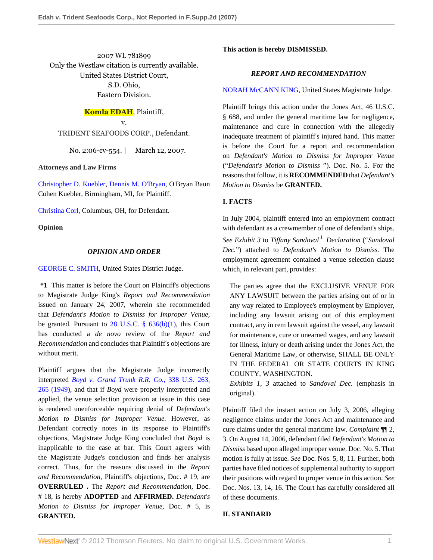2007 WL 781899 Only the Westlaw citation is currently available. United States District Court, S.D. Ohio, Eastern Division.

# **Komla EDAH**, Plaintiff,

v. TRIDENT SEAFOODS CORP., Defendant.

No. 2:06-cv-554. | March 12, 2007.

#### **Attorneys and Law Firms**

[Christopher D. Kuebler](http://www.westlaw.com/Link/Document/FullText?findType=h&pubNum=176284&cite=0281003601&originatingDoc=Iac7857ccd4a211dbb035bac3a32ef289&refType=RQ&originationContext=document&vr=3.0&rs=cblt1.0&transitionType=DocumentItem&contextData=(sc.Search)), [Dennis M. O'Bryan,](http://www.westlaw.com/Link/Document/FullText?findType=h&pubNum=176284&cite=0182859701&originatingDoc=Iac7857ccd4a211dbb035bac3a32ef289&refType=RQ&originationContext=document&vr=3.0&rs=cblt1.0&transitionType=DocumentItem&contextData=(sc.Search)) O'Bryan Baun Cohen Kuebler, Birmingham, MI, for Plaintiff.

[Christina Corl,](http://www.westlaw.com/Link/Document/FullText?findType=h&pubNum=176284&cite=0336661501&originatingDoc=Iac7857ccd4a211dbb035bac3a32ef289&refType=RQ&originationContext=document&vr=3.0&rs=cblt1.0&transitionType=DocumentItem&contextData=(sc.Search)) Columbus, OH, for Defendant.

**Opinion**

### *OPINION AND ORDER*

### [GEORGE C. SMITH,](http://www.westlaw.com/Link/Document/FullText?findType=h&pubNum=176284&cite=0143459001&originatingDoc=Iac7857ccd4a211dbb035bac3a32ef289&refType=RQ&originationContext=document&vr=3.0&rs=cblt1.0&transitionType=DocumentItem&contextData=(sc.Search)) United States District Judge.

**\*1** This matter is before the Court on Plaintiff's objections to Magistrate Judge King's *Report and Recommendation* issued on January 24, 2007, wherein she recommended that *Defendant's Motion to Dismiss for Improper Venue,* be granted. Pursuant to  $28$  U.S.C. §  $636(b)(1)$ , this Court has conducted a *de novo* review of the *Report and Recommendation* and concludes that Plaintiff's objections are without merit.

Plaintiff argues that the Magistrate Judge incorrectly interpreted *[Boyd v. Grand Trunk R.R. Co.,](http://www.westlaw.com/Link/Document/FullText?findType=Y&serNum=1949116174&pubNum=780&originationContext=document&vr=3.0&rs=cblt1.0&transitionType=DocumentItem&contextData=(sc.Search)#co_pp_sp_780_265)* 338 U.S. 263, [265 \(1949\)](http://www.westlaw.com/Link/Document/FullText?findType=Y&serNum=1949116174&pubNum=780&originationContext=document&vr=3.0&rs=cblt1.0&transitionType=DocumentItem&contextData=(sc.Search)#co_pp_sp_780_265), and that if *Boyd* were properly interpreted and applied, the venue selection provision at issue in this case is rendered unenforceable requiring denial of *Defendant's Motion to Dismiss for Improper Venue.* However, as Defendant correctly notes in its response to Plaintiff's objections, Magistrate Judge King concluded that *Boyd* is inapplicable to the case at bar. This Court agrees with the Magistrate Judge's conclusion and finds her analysis correct. Thus, for the reasons discussed in the *Report and Recommendation,* Plaintiff's objections, Doc. # 19, are **OVERRULED .** The *Report and Recommendation,* Doc. # 18, is hereby **ADOPTED** and **AFFIRMED.** *Defendant's Motion to Dismiss for Improper Venue,* Doc. # 5, is **GRANTED.**

### **This action is hereby DISMISSED.**

## *REPORT AND RECOMMENDATION*

#### [NORAH McCANN KING](http://www.westlaw.com/Link/Document/FullText?findType=h&pubNum=176284&cite=0153606701&originatingDoc=Iac7857ccd4a211dbb035bac3a32ef289&refType=RQ&originationContext=document&vr=3.0&rs=cblt1.0&transitionType=DocumentItem&contextData=(sc.Search)), United States Magistrate Judge.

Plaintiff brings this action under the Jones Act, 46 U.S.C. § 688, and under the general maritime law for negligence, maintenance and cure in connection with the allegedly inadequate treatment of plaintiff's injured hand. This matter is before the Court for a report and recommendation on *Defendant's Motion to Dismiss for Improper Venue* ("*Defendant's Motion to Dismiss* "). Doc. No. 5. For the reasons that follow, it is **RECOMMENDED** that *Defendant's Motion to Dismiss* be **GRANTED.**

# **I. FACTS**

<span id="page-0-0"></span>In July 2004, plaintiff entered into an employment contract with defendant as a crewmember of one of defendant's ships. *See Exhibit 3* to *Tiffany Sandoval* [1](#page-2-0) *Declaration* ("*Sandoval Dec.*") attached to *Defendant's Motion to Dismiss.* The employment agreement contained a venue selection clause which, in relevant part, provides:

The parties agree that the EXCLUSIVE VENUE FOR ANY LAWSUIT between the parties arising out of or in any way related to Employee's employment by Employer, including any lawsuit arising out of this employment contract, any in rem lawsuit against the vessel, any lawsuit for maintenance, cure or unearned wages, and any lawsuit for illness, injury or death arising under the Jones Act, the General Maritime Law, or otherwise, SHALL BE ONLY IN THE FEDERAL OR STATE COURTS IN KING COUNTY, WASHINGTON.

*Exhibits 1, 3* attached to *Sandoval Dec.* (emphasis in original).

Plaintiff filed the instant action on July 3, 2006, alleging negligence claims under the Jones Act and maintenance and cure claims under the general maritime law. *Complaint* ¶¶ 2, 3. On August 14, 2006, defendant filed *Defendant's Motion to Dismiss* based upon alleged improper venue. Doc. No. 5. That motion is fully at issue. *See* Doc. Nos. 5, 8, 11. Further, both parties have filed notices of supplemental authority to support their positions with regard to proper venue in this action. *See* Doc. Nos. 13, 14, 16. The Court has carefully considered all of these documents.

# **II. STANDARD**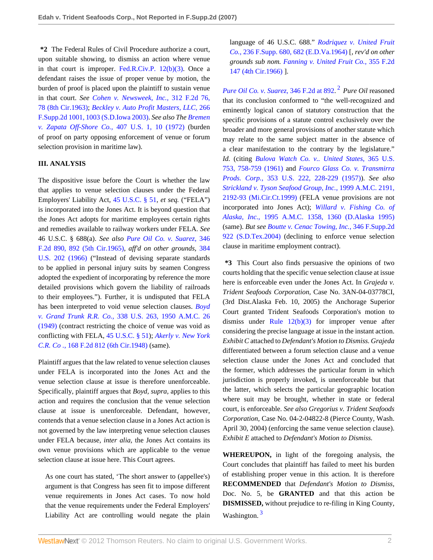**\*2** The Federal Rules of Civil Procedure authorize a court, upon suitable showing, to dismiss an action where venue in that court is improper. [Fed.R.Civ.P. 12\(b\)\(3\).](http://www.westlaw.com/Link/Document/FullText?findType=L&pubNum=1004365&cite=USFRCPR12&originatingDoc=Iac7857ccd4a211dbb035bac3a32ef289&refType=LQ&originationContext=document&vr=3.0&rs=cblt1.0&transitionType=DocumentItem&contextData=(sc.Search)) Once a defendant raises the issue of proper venue by motion, the burden of proof is placed upon the plaintiff to sustain venue in that court. *See [Cohen v. Newsweek, Inc.,](http://www.westlaw.com/Link/Document/FullText?findType=Y&serNum=1963113507&pubNum=350&originationContext=document&vr=3.0&rs=cblt1.0&transitionType=DocumentItem&contextData=(sc.Search)#co_pp_sp_350_78)* 312 F.2d 76, [78 \(8th Cir.1963\)](http://www.westlaw.com/Link/Document/FullText?findType=Y&serNum=1963113507&pubNum=350&originationContext=document&vr=3.0&rs=cblt1.0&transitionType=DocumentItem&contextData=(sc.Search)#co_pp_sp_350_78); *[Beckley v. Auto Profit Masters, LLC,](http://www.westlaw.com/Link/Document/FullText?findType=Y&serNum=2003398098&pubNum=4637&originationContext=document&vr=3.0&rs=cblt1.0&transitionType=DocumentItem&contextData=(sc.Search)#co_pp_sp_4637_1003)* 266 [F.Supp.2d 1001, 1003 \(S.D.Iowa 2003\).](http://www.westlaw.com/Link/Document/FullText?findType=Y&serNum=2003398098&pubNum=4637&originationContext=document&vr=3.0&rs=cblt1.0&transitionType=DocumentItem&contextData=(sc.Search)#co_pp_sp_4637_1003) *See also The [Bremen](http://www.westlaw.com/Link/Document/FullText?findType=Y&serNum=1972127141&pubNum=780&originationContext=document&vr=3.0&rs=cblt1.0&transitionType=DocumentItem&contextData=(sc.Search)#co_pp_sp_780_10) [v. Zapata Off-Shore Co.,](http://www.westlaw.com/Link/Document/FullText?findType=Y&serNum=1972127141&pubNum=780&originationContext=document&vr=3.0&rs=cblt1.0&transitionType=DocumentItem&contextData=(sc.Search)#co_pp_sp_780_10)* 407 U.S. 1, 10 (1972) (burden of proof on party opposing enforcement of venue or forum selection provision in maritime law).

## **III. ANALYSIS**

The dispositive issue before the Court is whether the law that applies to venue selection clauses under the Federal Employers' Liability Act, [45 U.S.C. § 51](http://www.westlaw.com/Link/Document/FullText?findType=L&pubNum=1000546&cite=45USCAS51&originatingDoc=Iac7857ccd4a211dbb035bac3a32ef289&refType=LQ&originationContext=document&vr=3.0&rs=cblt1.0&transitionType=DocumentItem&contextData=(sc.Search)), *et seq.* ("FELA") is incorporated into the Jones Act. It is beyond question that the Jones Act adopts for maritime employees certain rights and remedies available to railway workers under FELA. *See* 46 U.S.C. § 688(a). *See also [Pure Oil Co. v. Suarez,](http://www.westlaw.com/Link/Document/FullText?findType=Y&serNum=1965113856&pubNum=350&originationContext=document&vr=3.0&rs=cblt1.0&transitionType=DocumentItem&contextData=(sc.Search)#co_pp_sp_350_892)* 346 [F.2d 890, 892 \(5th Cir.1965\)](http://www.westlaw.com/Link/Document/FullText?findType=Y&serNum=1965113856&pubNum=350&originationContext=document&vr=3.0&rs=cblt1.0&transitionType=DocumentItem&contextData=(sc.Search)#co_pp_sp_350_892), *aff'd on other grounds,* [384](http://www.westlaw.com/Link/Document/FullText?findType=Y&serNum=1966131560&pubNum=780&originationContext=document&vr=3.0&rs=cblt1.0&transitionType=DocumentItem&contextData=(sc.Search)) [U.S. 202 \(1966\)](http://www.westlaw.com/Link/Document/FullText?findType=Y&serNum=1966131560&pubNum=780&originationContext=document&vr=3.0&rs=cblt1.0&transitionType=DocumentItem&contextData=(sc.Search)) ("Instead of devising separate standards to be applied in personal injury suits by seamen Congress adopted the expedient of incorporating by reference the more detailed provisions which govern the liability of railroads to their employees."). Further, it is undisputed that FELA has been interpreted to void venue selection clauses. *[Boyd](http://www.westlaw.com/Link/Document/FullText?findType=Y&serNum=1949116174&pubNum=780&originationContext=document&vr=3.0&rs=cblt1.0&transitionType=DocumentItem&contextData=(sc.Search)) v. Grand Trunk R.R. Co.,* [338 U.S. 263, 1950 A.M.C. 26](http://www.westlaw.com/Link/Document/FullText?findType=Y&serNum=1949116174&pubNum=780&originationContext=document&vr=3.0&rs=cblt1.0&transitionType=DocumentItem&contextData=(sc.Search)) [\(1949\)](http://www.westlaw.com/Link/Document/FullText?findType=Y&serNum=1949116174&pubNum=780&originationContext=document&vr=3.0&rs=cblt1.0&transitionType=DocumentItem&contextData=(sc.Search)) (contract restricting the choice of venue was void as conflicting with FELA, [45 U.S.C. § 51\)](http://www.westlaw.com/Link/Document/FullText?findType=L&pubNum=1000546&cite=45USCAS51&originatingDoc=Iac7857ccd4a211dbb035bac3a32ef289&refType=LQ&originationContext=document&vr=3.0&rs=cblt1.0&transitionType=DocumentItem&contextData=(sc.Search)); *[Akerly v. New York](http://www.westlaw.com/Link/Document/FullText?findType=Y&serNum=1948115661&pubNum=350&originationContext=document&vr=3.0&rs=cblt1.0&transitionType=DocumentItem&contextData=(sc.Search)) C.R. Co .,* [168 F.2d 812 \(6th Cir.1948\)](http://www.westlaw.com/Link/Document/FullText?findType=Y&serNum=1948115661&pubNum=350&originationContext=document&vr=3.0&rs=cblt1.0&transitionType=DocumentItem&contextData=(sc.Search)) (same).

Plaintiff argues that the law related to venue selection clauses under FELA is incorporated into the Jones Act and the venue selection clause at issue is therefore unenforceable. Specifically, plaintiff argues that *Boyd, supra,* applies to this action and requires the conclusion that the venue selection clause at issue is unenforceable. Defendant, however, contends that a venue selection clause in a Jones Act action is not governed by the law interpreting venue selection clauses under FELA because, *inter alia,* the Jones Act contains its own venue provisions which are applicable to the venue selection clause at issue here. This Court agrees.

As one court has stated, 'The short answer to (appellee's) argument is that Congress has seen fit to impose different venue requirements in Jones Act cases. To now hold that the venue requirements under the Federal Employers' Liability Act are controlling would negate the plain language of 46 U.S.C. 688." *[Rodriquez v. United Fruit](http://www.westlaw.com/Link/Document/FullText?findType=Y&serNum=1964112416&pubNum=345&originationContext=document&vr=3.0&rs=cblt1.0&transitionType=DocumentItem&contextData=(sc.Search)#co_pp_sp_345_682) Co.,* [236 F.Supp. 680, 682 \(E.D.Va.1964\)](http://www.westlaw.com/Link/Document/FullText?findType=Y&serNum=1964112416&pubNum=345&originationContext=document&vr=3.0&rs=cblt1.0&transitionType=DocumentItem&contextData=(sc.Search)#co_pp_sp_345_682) [, *rev'd on other grounds sub nom. [Fanning v. United Fruit Co.,](http://www.westlaw.com/Link/Document/FullText?findType=Y&serNum=1966108883&pubNum=350&originationContext=document&vr=3.0&rs=cblt1.0&transitionType=DocumentItem&contextData=(sc.Search))* 355 F.2d [147 \(4th Cir.1966\)](http://www.westlaw.com/Link/Document/FullText?findType=Y&serNum=1966108883&pubNum=350&originationContext=document&vr=3.0&rs=cblt1.0&transitionType=DocumentItem&contextData=(sc.Search)) ].

<span id="page-1-0"></span>*[Pure Oil Co. v. Suarez,](http://www.westlaw.com/Link/Document/FullText?findType=Y&serNum=1965113856&pubNum=350&originationContext=document&vr=3.0&rs=cblt1.0&transitionType=DocumentItem&contextData=(sc.Search)#co_pp_sp_350_892)* 346 F.2d at 892. [2](#page-2-1) *Pure Oil* reasoned that its conclusion conformed to "the well-recognized and eminently logical canon of statutory construction that the specific provisions of a statute control exclusively over the broader and more general provisions of another statute which may relate to the same subject matter in the absence of a clear manifestation to the contrary by the legislature." *Id.* (citing *[Bulova Watch Co. v.. United States,](http://www.westlaw.com/Link/Document/FullText?findType=Y&serNum=1961125465&pubNum=780&originationContext=document&vr=3.0&rs=cblt1.0&transitionType=DocumentItem&contextData=(sc.Search)#co_pp_sp_780_758)* 365 U.S. [753, 758-759 \(1961\)](http://www.westlaw.com/Link/Document/FullText?findType=Y&serNum=1961125465&pubNum=780&originationContext=document&vr=3.0&rs=cblt1.0&transitionType=DocumentItem&contextData=(sc.Search)#co_pp_sp_780_758) and *[Fourco Glass Co. v. Transmirra](http://www.westlaw.com/Link/Document/FullText?findType=Y&serNum=1957101451&pubNum=780&originationContext=document&vr=3.0&rs=cblt1.0&transitionType=DocumentItem&contextData=(sc.Search)#co_pp_sp_780_228) Prods. Corp.,* [353 U.S. 222, 228-229 \(1957\)\)](http://www.westlaw.com/Link/Document/FullText?findType=Y&serNum=1957101451&pubNum=780&originationContext=document&vr=3.0&rs=cblt1.0&transitionType=DocumentItem&contextData=(sc.Search)#co_pp_sp_780_228). *See also [Strickland v. Tyson Seafood Group, Inc.,](http://www.westlaw.com/Link/Document/FullText?findType=Y&serNum=2000029455&pubNum=109&originationContext=document&vr=3.0&rs=cblt1.0&transitionType=DocumentItem&contextData=(sc.Search)#co_pp_sp_109_2192)* 1999 A.M.C. 2191, [2192-93 \(Mi.Cir.Ct.1999\)](http://www.westlaw.com/Link/Document/FullText?findType=Y&serNum=2000029455&pubNum=109&originationContext=document&vr=3.0&rs=cblt1.0&transitionType=DocumentItem&contextData=(sc.Search)#co_pp_sp_109_2192) (FELA venue provisions are not incorporated into Jones Act); *[Willard v. Fishing Co. of](http://www.westlaw.com/Link/Document/FullText?findType=Y&serNum=1995155834&pubNum=109&originationContext=document&vr=3.0&rs=cblt1.0&transitionType=DocumentItem&contextData=(sc.Search)#co_pp_sp_109_1360) Alaska, Inc.,* [1995 A.M.C. 1358, 1360 \(D.Alaska 1995\)](http://www.westlaw.com/Link/Document/FullText?findType=Y&serNum=1995155834&pubNum=109&originationContext=document&vr=3.0&rs=cblt1.0&transitionType=DocumentItem&contextData=(sc.Search)#co_pp_sp_109_1360) (same). *But see [Boutte v. Cenac Towing, Inc.,](http://www.westlaw.com/Link/Document/FullText?findType=Y&serNum=2005671663&pubNum=4637&originationContext=document&vr=3.0&rs=cblt1.0&transitionType=DocumentItem&contextData=(sc.Search))* 346 F.Supp.2d [922 \(S.D.Tex.2004\)](http://www.westlaw.com/Link/Document/FullText?findType=Y&serNum=2005671663&pubNum=4637&originationContext=document&vr=3.0&rs=cblt1.0&transitionType=DocumentItem&contextData=(sc.Search)) (declining to enforce venue selection clause in maritime employment contract).

**\*3** This Court also finds persuasive the opinions of two courts holding that the specific venue selection clause at issue here is enforceable even under the Jones Act. In *Grajeda v. Trident Seafoods Corporation,* Case No. 3AN-04-03778CI, (3rd Dist.Alaska Feb. 10, 2005) the Anchorage Superior Court granted Trident Seafoods Corporation's motion to dismiss under Rule  $12(b)(3)$  for improper venue after considering the precise language at issue in the instant action. *Exhibit C* attached to *Defendant's Motion to Dismiss. Grajeda* differentiated between a forum selection clause and a venue selection clause under the Jones Act and concluded that the former, which addresses the particular forum in which jurisdiction is properly invoked, is unenforceable but that the latter, which selects the particular geographic location where suit may be brought, whether in state or federal court, is enforceable. *See also Gregorius v. Trident Seafoods Corporation,* Case No. 04-2-04822-8 (Pierce County, Wash. April 30, 2004) (enforcing the same venue selection clause). *Exhibit E* attached to *Defendant's Motion to Dismiss.*

<span id="page-1-1"></span>**WHEREUPON,** in light of the foregoing analysis, the Court concludes that plaintiff has failed to meet his burden of establishing proper venue in this action. It is therefore **RECOMMENDED** that *Defendant's Motion to Dismiss,* Doc. No. 5, be **GRANTED** and that this action be **DISMISSED,** without prejudice to re-filing in King County, Washington.<sup>[3](#page-2-2)</sup>